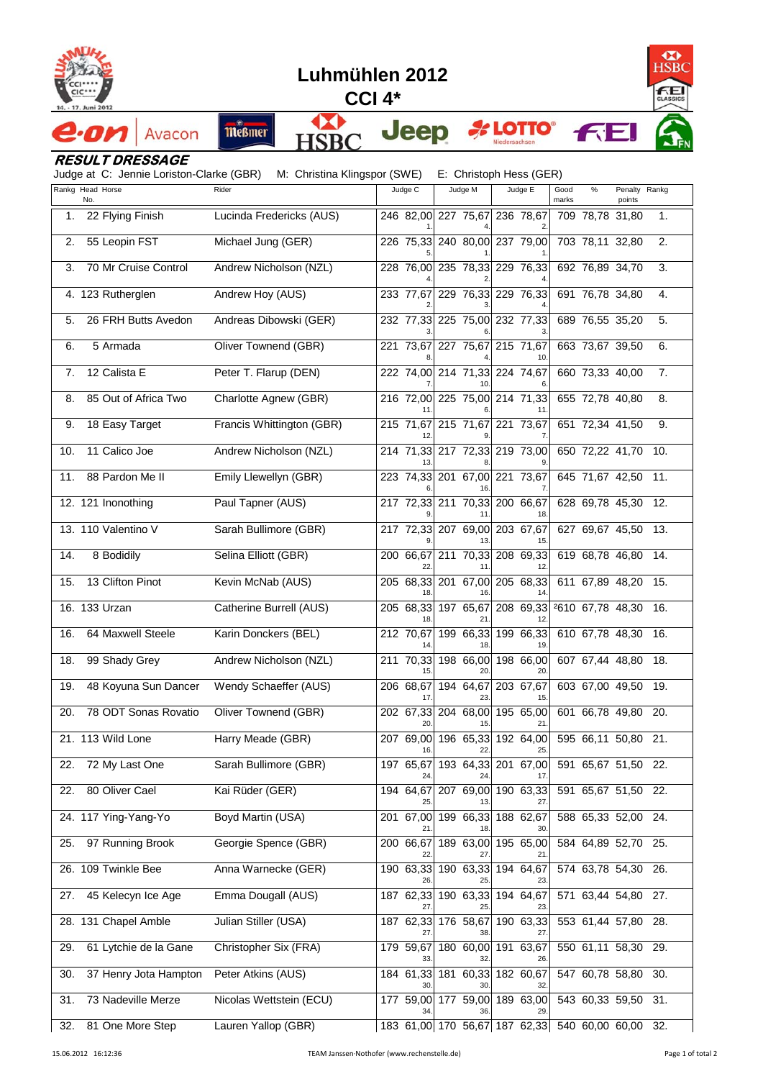

7



## **RESULT DRESSAGE**

Judge at C: Jennie Loriston-Clarke (GBR) M: Christina Klingspor (SWE) E: Christoph Hess (GER)

|     | Rankg Head Horse      | Rider                     | Judge C                       | Judge M                   | Judge E                       | Good  | %                   | Penalty Rankg |     |
|-----|-----------------------|---------------------------|-------------------------------|---------------------------|-------------------------------|-------|---------------------|---------------|-----|
|     | No.                   |                           |                               |                           |                               | marks |                     | points        |     |
| 1.  | 22 Flying Finish      | Lucinda Fredericks (AUS)  |                               | 246 82,00 227 75,67       | 236 78,67                     |       | 709 78,78 31,80     |               | 1.  |
| 2.  | 55 Leopin FST         | Michael Jung (GER)        |                               |                           | 226 75,33 240 80,00 237 79,00 |       | 703 78,11 32,80     |               | 2.  |
| 3.  | 70 Mr Cruise Control  | Andrew Nicholson (NZL)    |                               |                           | 228 76,00 235 78,33 229 76,33 |       | 692 76,89 34,70     |               | 3.  |
|     | 4. 123 Rutherglen     | Andrew Hoy (AUS)          | 233 77,67                     |                           | 229 76,33 229 76,33           |       | 691 76,78 34,80     |               | 4.  |
| 5.  | 26 FRH Butts Avedon   | Andreas Dibowski (GER)    |                               |                           | 232 77,33 225 75,00 232 77,33 |       | 689 76,55 35,20     |               | 5.  |
| 6.  | 5 Armada              | Oliver Townend (GBR)      | 221 73,67                     | 227 75,67                 | 215 71,67                     |       | 663 73,67 39,50     |               | 6.  |
| 7.  | 12 Calista E          | Peter T. Flarup (DEN)     |                               |                           | 222 74,00 214 71,33 224 74,67 |       | 660 73,33 40,00     |               | 7.  |
| 8.  | 85 Out of Africa Two  | Charlotte Agnew (GBR)     |                               |                           | 216 72,00 225 75,00 214 71,33 |       | 655 72,78 40,80     |               | 8.  |
| 9.  | 18 Easy Target        | Francis Whittington (GBR) |                               |                           | 215 71,67 215 71,67 221 73,67 |       | 651 72,34 41,50     |               | 9.  |
| 10. | 11 Calico Joe         | Andrew Nicholson (NZL)    |                               |                           | 214 71,33 217 72,33 219 73,00 |       | 650 72,22 41,70     |               | 10. |
| 11. | 88 Pardon Me II       | Emily Llewellyn (GBR)     |                               |                           | 223 74,33 201 67,00 221 73,67 |       | 645 71,67 42,50     |               | 11. |
|     | 12. 121 Inonothing    | Paul Tapner (AUS)         |                               |                           | 217 72,33 211 70,33 200 66,67 |       | 628 69,78 45,30 12. |               |     |
|     | 13. 110 Valentino V   | Sarah Bullimore (GBR)     |                               | 217 72,33 207 69,00       | 203 67,67<br>15               |       | 627 69,67 45,50     |               | 13. |
| 14. | 8 Bodidily            | Selina Elliott (GBR)      | 200 66,67<br>22               | 11                        | 211 70,33 208 69,33<br>12     |       | 619 68,78 46,80 14. |               |     |
| 15. | 13 Clifton Pinot      | Kevin McNab (AUS)         |                               | 16                        | 205 68,33 201 67,00 205 68,33 |       | 611 67,89 48,20     |               | 15. |
|     | 16. 133 Urzan         | Catherine Burrell (AUS)   | 205 68,33<br>18               | 197 65,67<br>21           | 208 69,33                     |       | 2610 67,78 48,30    |               | 16. |
| 16. | 64 Maxwell Steele     | Karin Donckers (BEL)      | 212 70,67<br>14               | 199 66,33<br>18           | 199 66,33<br>19               |       | 610 67,78 48,30     |               | 16. |
| 18. | 99 Shady Grey         | Andrew Nicholson (NZL)    | 211 70,33<br>15               | 198 66,00                 | 198 66,00<br>20.              |       | 607 67,44 48,80     |               | 18. |
| 19. | 48 Koyuna Sun Dancer  | Wendy Schaeffer (AUS)     | 206 68,67<br>17.              | 194 64,67<br>23           | 203 67,67<br>15.              |       | 603 67,00 49,50     |               | 19. |
| 20. | 78 ODT Sonas Rovatio  | Oliver Townend (GBR)      | 20                            | 202 67,33 204 68,00<br>15 | 195 65,00<br>21               |       | 601 66,78 49,80     |               | 20. |
|     | 21. 113 Wild Lone     | Harry Meade (GBR)         | $\overline{207}$ 69,00<br>16. | 196 65.33<br>22.          | 192 64,00<br>25.              |       | 595 66,11 50,80 21. |               |     |
| 22. | 72 My Last One        | Sarah Bullimore (GBR)     | 197 65,67<br>24               | 24                        | 193 64,33 201 67,00           |       | 591 65,67 51,50 22. |               |     |
| 22. | 80 Oliver Cael        | Kai Rüder (GER)           | 194 64,67                     | 207 69,00                 | 190 63,33                     |       | 591 65,67 51,50 22. |               |     |
|     | 24. 117 Ying-Yang-Yo  | Boyd Martin (USA)         |                               | 201 67,00 199 66,33       | 188 62,67                     |       | 588 65,33 52,00 24. |               |     |
| 25. | 97 Running Brook      | Georgie Spence (GBR)      | 200 66,67                     | 189 63,00<br>27           | 195 65,00                     |       | 584 64,89 52,70     |               | 25. |
| 26. | 109 Twinkle Bee       | Anna Warnecke (GER)       | 190 63.33                     | 190 63,33                 | 194 64,67<br>23               |       | 574 63,78 54,30 26. |               |     |
| 27. | 45 Kelecyn Ice Age    | Emma Dougall (AUS)        |                               |                           | 187 62,33 190 63,33 194 64,67 |       | 571 63,44 54,80 27. |               |     |
|     | 28. 131 Chapel Amble  | Julian Stiller (USA)      |                               | 187 62,33 176 58,67       | 190 63,33                     |       | 553 61,44 57,80 28. |               |     |
| 29. | 61 Lytchie de la Gane | Christopher Six (FRA)     | 179 59,67                     | 180 60,00                 | 191 63,67<br>26.              |       | 550 61,11 58,30 29. |               |     |
| 30. | 37 Henry Jota Hampton | Peter Atkins (AUS)        |                               | 184 61,33 181 60,33       | 182 60,67                     |       | 547 60,78 58,80     |               | 30. |
| 31. | 73 Nadeville Merze    | Nicolas Wettstein (ECU)   |                               |                           | 177 59,00 177 59,00 189 63,00 |       | 543 60,33 59,50 31. |               |     |
| 32. | 81 One More Step      | Lauren Yallop (GBR)       |                               |                           | 183 61,00 170 56,67 187 62,33 |       | 540 60,00 60,00 32. |               |     |